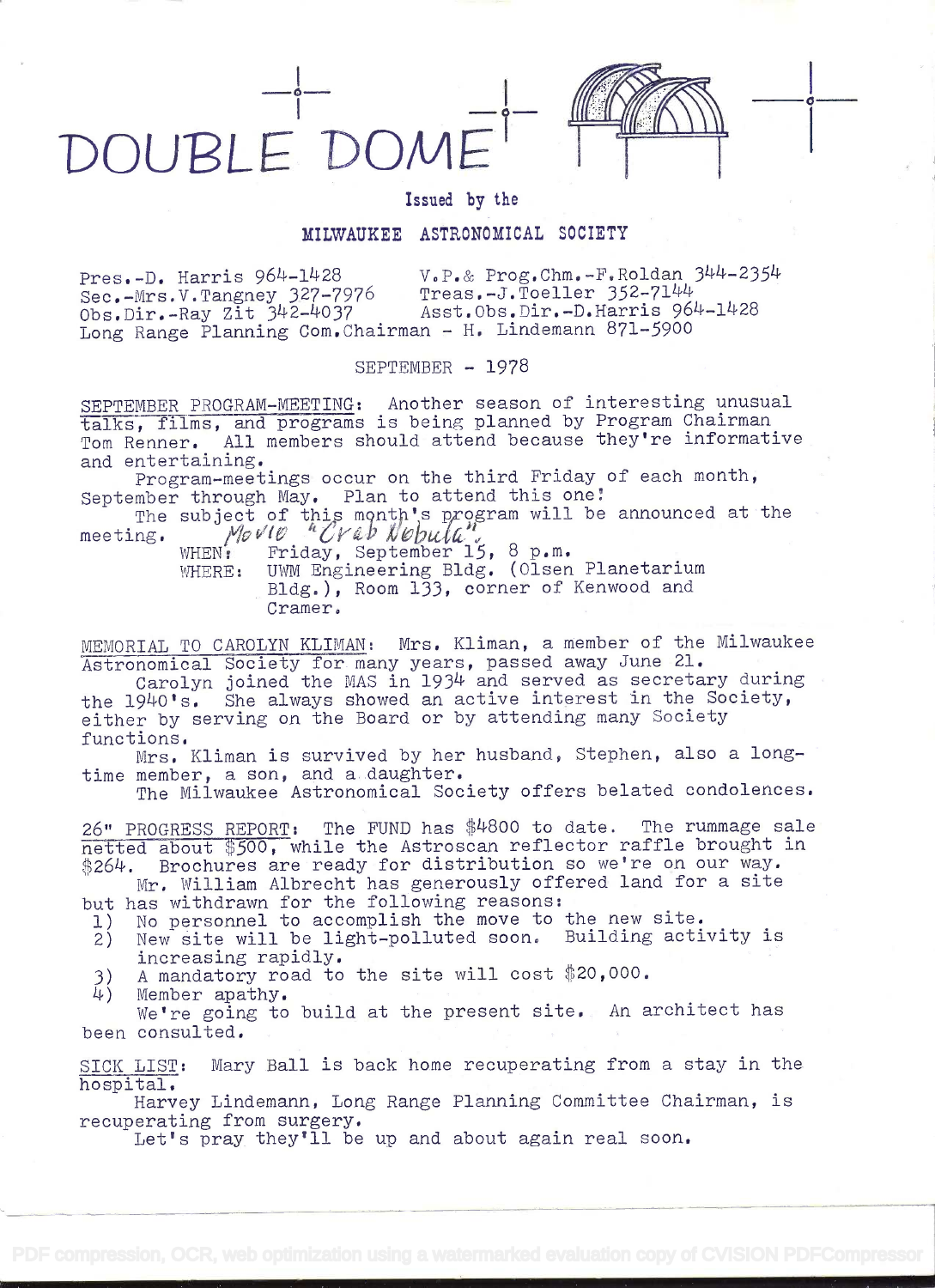



0

## Issued by the

## MILWAUKEE ASTRONOMICAL SOCIETY

Pres.-D. Harris  $964-1428$ <br>Sec.-Mrs.V.Tangney 327-7976 Treas.-J.Toeller 352-7144 Treas.-J.Toeller 352-7144<br>Asst.Obs.Dir.-D.Harris 964-1428  $Obs.Dir.-Ray Zit 342-4037$ Long Range Planning Com.Chairman - H. Lindemann 871-5900

SEPTEMBER - 1978

SEPTEMBER PROGRAM-MEETING: Another season of interesting unusual talks, films, and programs is being planned by Program Chairman Tom Renner. All members should attend because they're informative and entertaining.

Program-meetings occur on the third Friday of each month, September through May. Plan to attend this one!

The subject of this month's program will be announced at the meeting. Movie "Crab Nebula",

WHEN: Friday, September 15, 8 p.m. WHERE: UWM Engineering Bldg. (Olsen Planetarium Bldg.), Room 133, corner of Kenwood and Cramer.

MEMORIAL TO CAROLYN KLIMAN: Mrs. Kliman, a member of the Milwaukee Astronomical Society for many years, passed away June 21.

Carolyn joined the MAS in 1934 and served as secretary during the l9140's. She always showed an active interest in the Society, either by serving on the Board or by attending many Society functions.

Mrs. Kilman is survived by her husband, Stephen, also a longtime member, a son, and a daughter.

The Milwaukee Astronomical Society offers belated condolences.

26" PROGRESS REPORT: The FUND has \$4800 to date. The rummage sale netted about \$500, while the Astroscan reflector raffle brought in \$264. Brochures are ready for distribution so we're on our way.

Mr. William Albrecht has generously offered land for a site but has withdrawn for the following reasons:<br>1) No personnel to accomplish the move to

- 1) No personnel to accomplish the move to the new site.<br>2) New site will be light-polluted soon. Building acti New site will be light-polluted soon. Building activity is increasing rapidly.
- 3) A mandatory road to the site will cost  $$20,000$ .<br>4) Member apathy.
- Member apathy.

We're going to build at the present site. An architect has been consulted.

SICK LIST: Mary Ball is back home recuperating from a stay in the hospital.

Harvey Lindemann, Long Range Planning Committee Chairman, is recuperating from surgery.

Let's pray they'll be up and about again real soon.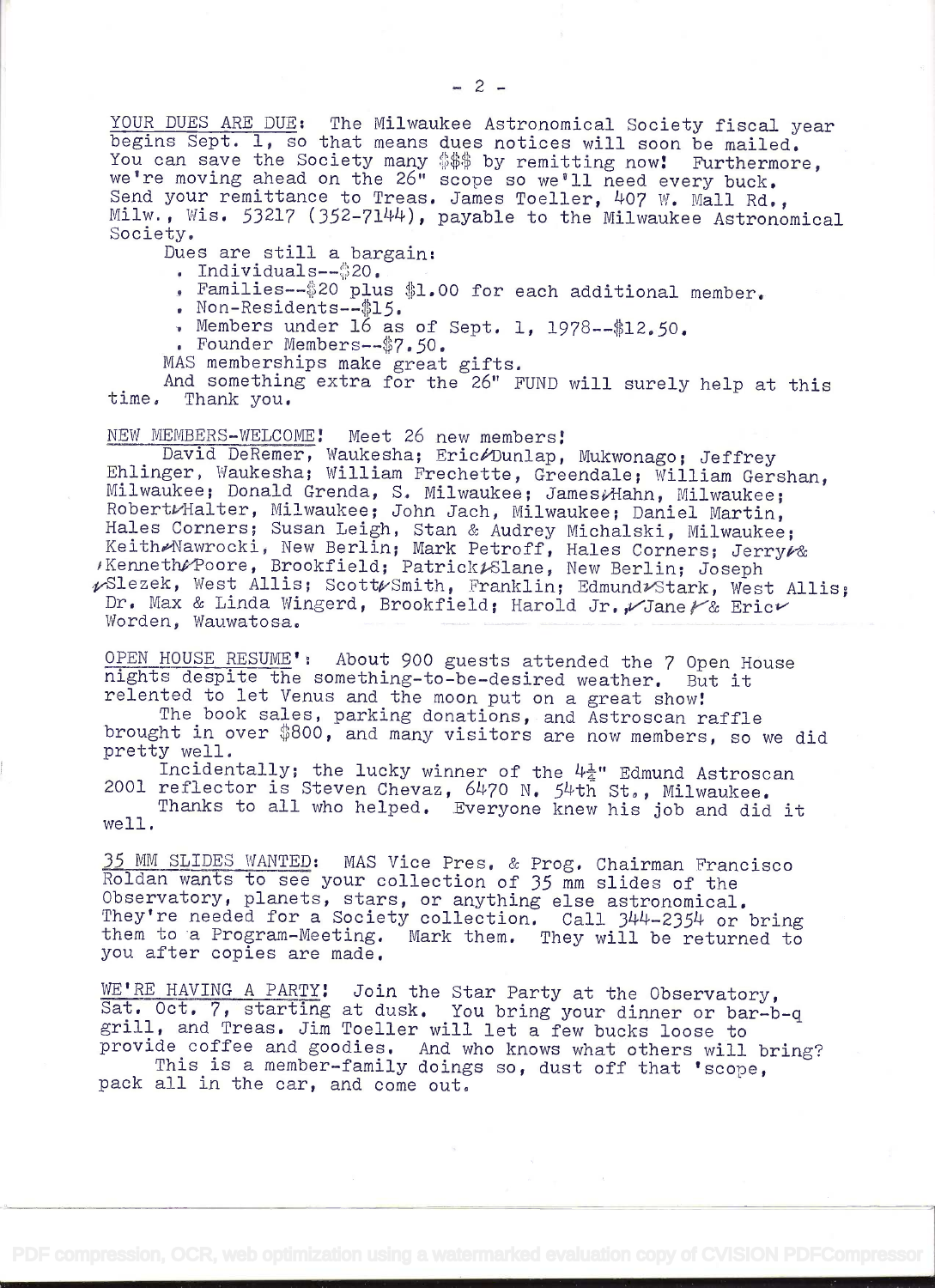YOUR DUES ARE DUE: The Milwaukee Astronomical Society fiscal year begins Sept. ], so that means dues notices will soon be mailed. You can save the Society many \$\$\$ by remitting now! Furthermore,<br>we're moving ahead on the 26" scope so we'll need every buck.<br>Send your remittance to Treas. James Toeller, 407 W. Mall Rd.,<br>Milw., Wis. 53217 (352-7144), pa

- . Individuals--\$20.
- . Families--\$20 plus \$1.00 for each additional member.
- . Non-Residents- $-15.$
- . Members under  $16$  as of Sept. 1, 1978--\$12.50.
- 

. Founder Members--\$7.50.<br>MAS memberships make great gifts.

And something extra for the 26" FUND will surely help at this time. Thank you.

NEW MEMBERS-WELCOME: Meet 26 new members:<br>David DeRemer, Waukesha; Eric∥Dunlap, Mukwonago; Jeffrey Ehlinger, Waukesha; William Frechette, Greendale; William Gershan, Milwaukee; Donald Grenda, S. Milwaukee; James*i*Hahn, Milwaukee; Robert/Halter, Milwaukee; John Jach, Milwaukee; Daniel Martin, Hales Corners; Susan Leigh, Dr. Max & Linda Wingerd, Brookfield; Harold Jr., Jane / & Eric $V$  Worden. Wauwatosa.

OPEN HOUSE RESUME': About 900 guests attended the 7 Open House nights despite the something-to-be-desired weather. But it relented to let Venus and the moon put on a great show!<br>The book sales, parking donations, and Astro

brought in over \$800, and many visitors are now members, so we did<br>pretty well.<br>Incidentally; the lucky winner of the  $4\frac{1}{4}$ " Edmund Astroscan<br>2001 reflector is Steven Chevaz, 6470 N. 54th St., Milwaukee.<br>Thanks to al

35 MM SLIDES WANTED: MAS Vice Pres. & Prog. Chairman Francisco<br>Roldan wants to see your collection of 35 mm slides of the<br>Observatory, planets, stars, or anything else astronomical.<br>They're needed for a Society collection. you after copies are made.

WE'RE HAVING A PARTY! Join the Star Party at the Observatory,<br>Sat. Oct. 7, starting at dusk. You bring your dinner or bar-b-q<br>grill, and Treas. Jim Toeller will let a few bucks loose to<br>provide coffee and goodies. And who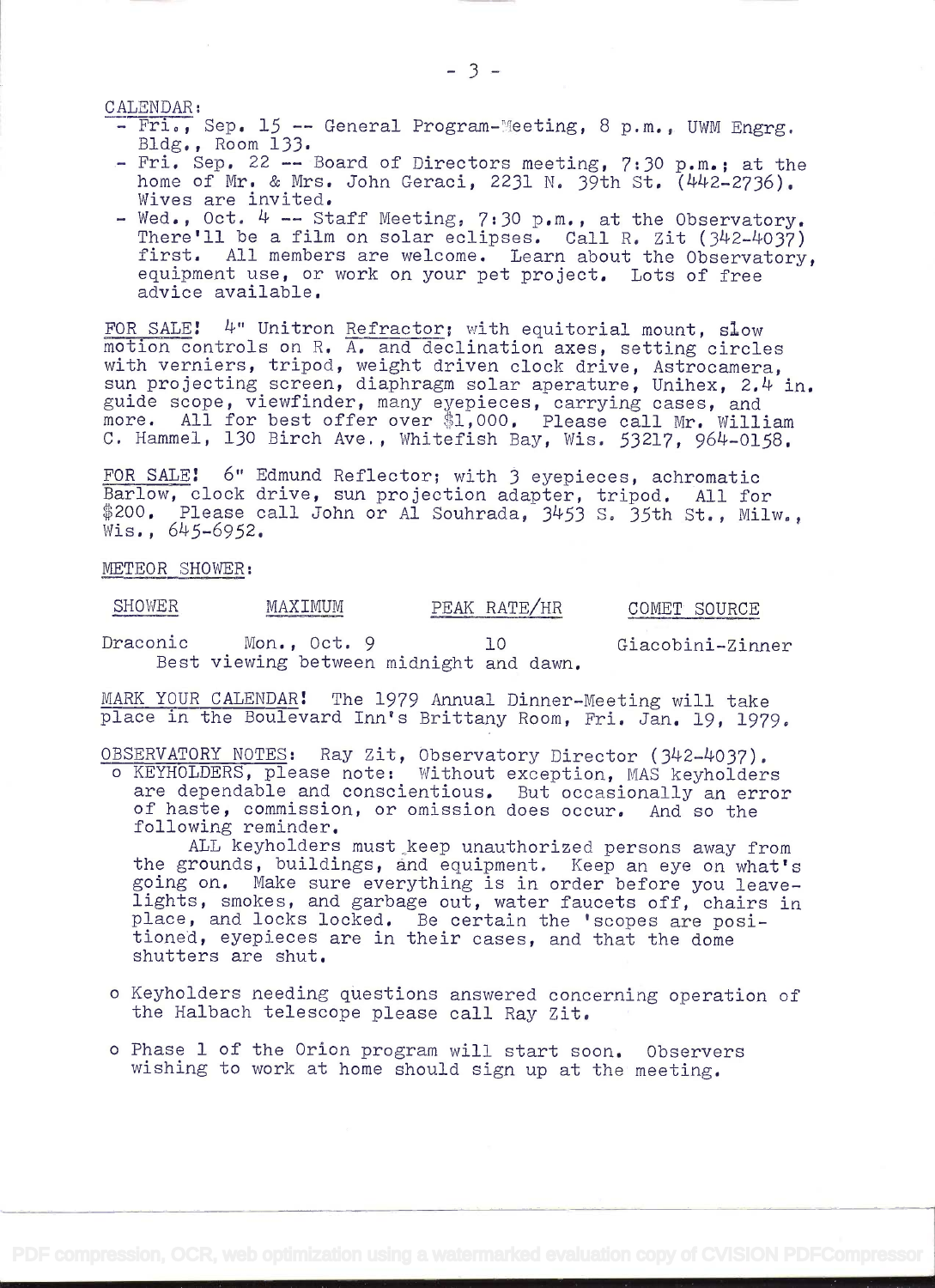- CALENDAR:<br>- Fri., Sep. 15 -- General Program-Meeting, 8 p.m., UWM Engrg.<br>Bldg., Room 133.<br>- Fri. Sep. 22 -- Board of Directors meeting, 7:30 p.m.; at the<br>home of Mr. & Mrs. John Geraci, 2231 N. 39th St. (442-2736).
	-
	- Wives are invited.<br>- Wed., Oct.  $4$  -- Staff Meeting, 7:30 p.m., at the Observatory.<br>There'll be a film on solar eclipses. Call R. Zit (342-4037)<br>first. All members are welcome. Learn about the Observatory,<br>equipment use,

FOR SALE! 4" Unitron Refractor; with equitorial mount, slow motion controls on R. A. and declination axes, setting circles<br>with verniers, tripod, weight driven clock drive, Astrocamera,<br>sun projecting screen, diaphragm solar aperature, Unihex, 2.4 in. with vernicity, orrpod, weight driven crock drive, Astrocamera,<br>sun projecting screen, diaphragm solar aperature, Unihex, 2.4 in.<br>guide scope, viewfinder, many eyepieces, carrying cases, and more. All for best offer over \$1,000. Please call Mr. William C. Hammel, 130 Birch Ave., Whitefish Bay, Wis. 53217, 964-0158.

FOR SALE: 6" Edmund Reflector; with 3 eyepieces, achromatic<br>Barlow, clock drive, sun projection adapter, tripod. All for \$200. Please call John or Al Souhrada, 3453 S. 35th St., Milw., Wis., 645-6952.

METEOR SHOWER:

SHOWER MAXIMUM PEAK RATE/HR COMET SOURCE Draconic Mon., Oct. 9 10 Giacobini-Zinner Best viewing between midnight and dawn.

MARK YOUR CALENDAR! The 1979 Annual Dinner-Meeting will take place in the Boulevard Inn's Brittany Room, Fri. Jan. 19, 1979.

OBSERVATORY NOTES: Ray Zit, Observatory Director (342-4037).

o KEYHOLDERS, please note: Without exception, MAS keyholders are dependable and conscientious. But occasionally an error of haste, commission, or omission does occur. And so the following reminder. ALL keyholders must keep

the grounds, buildings, and equipment. Keep an eye on what's<br>going on. Make sure everything is in order before you leave-<br>lights, smokes, and garbage out, water faucets off, chairs in<br>place, and locks locked. Be certain th

- <sup>o</sup>Keyholders needing questions answered concerning operation of the Halbach telescope please call Ray Zit.
- <sup>o</sup>Phase 1 of the Orion program will start soon. Observers wishing to work at home should sign up at the meeting.